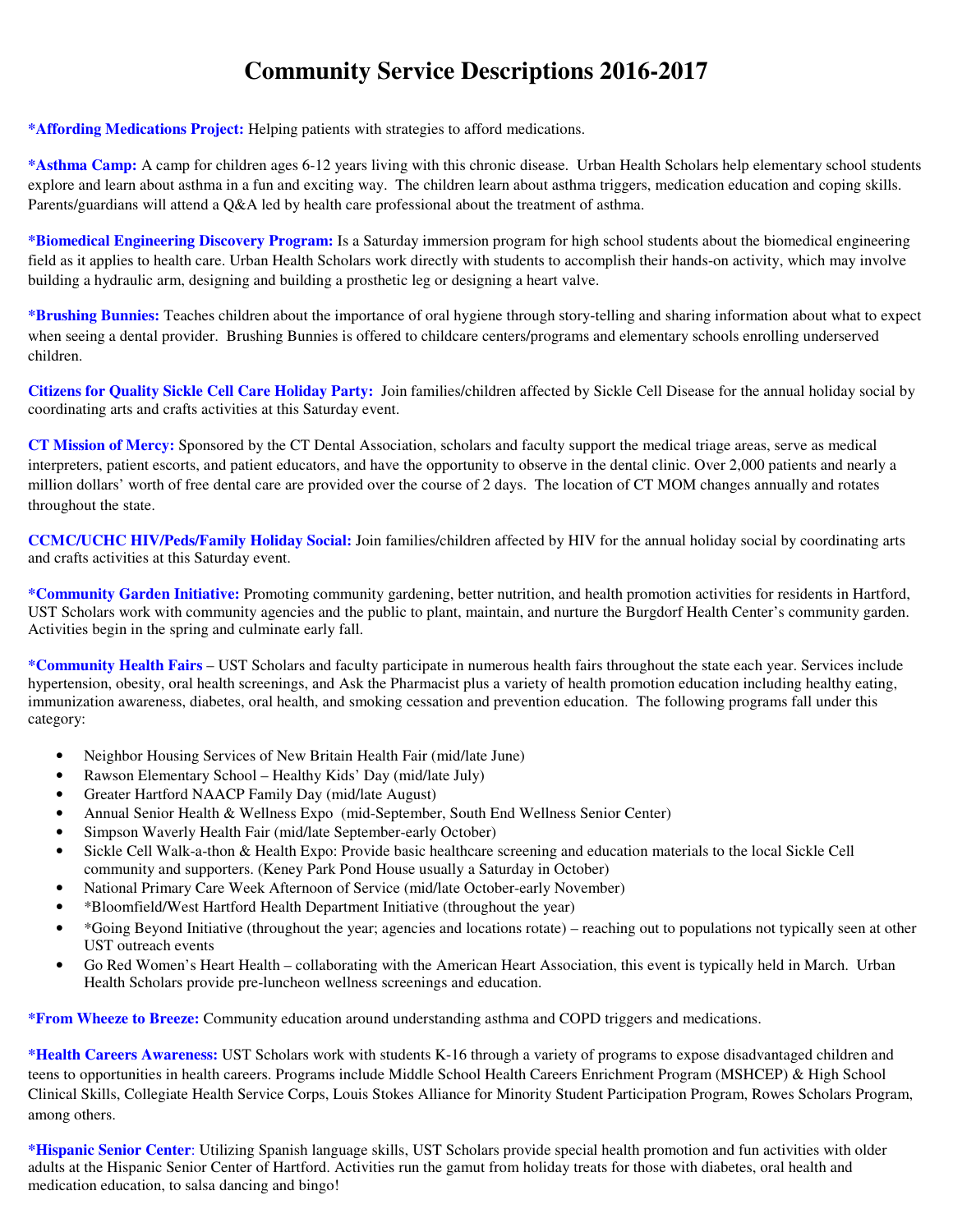## **Community Service Descriptions 2016-2017**

**\*Affording Medications Project:** Helping patients with strategies to afford medications.

**\*Asthma Camp:** A camp for children ages 6-12 years living with this chronic disease. Urban Health Scholars help elementary school students explore and learn about asthma in a fun and exciting way. The children learn about asthma triggers, medication education and coping skills. Parents/guardians will attend a Q&A led by health care professional about the treatment of asthma.

**\*Biomedical Engineering Discovery Program:** Is a Saturday immersion program for high school students about the biomedical engineering field as it applies to health care. Urban Health Scholars work directly with students to accomplish their hands-on activity, which may involve building a hydraulic arm, designing and building a prosthetic leg or designing a heart valve.

**\*Brushing Bunnies:** Teaches children about the importance of oral hygiene through story-telling and sharing information about what to expect when seeing a dental provider. Brushing Bunnies is offered to childcare centers/programs and elementary schools enrolling underserved children.

**Citizens for Quality Sickle Cell Care Holiday Party:** Join families/children affected by Sickle Cell Disease for the annual holiday social by coordinating arts and crafts activities at this Saturday event.

**CT Mission of Mercy:** Sponsored by the CT Dental Association, scholars and faculty support the medical triage areas, serve as medical interpreters, patient escorts, and patient educators, and have the opportunity to observe in the dental clinic. Over 2,000 patients and nearly a million dollars' worth of free dental care are provided over the course of 2 days. The location of CT MOM changes annually and rotates throughout the state.

**CCMC/UCHC HIV/Peds/Family Holiday Social:** Join families/children affected by HIV for the annual holiday social by coordinating arts and crafts activities at this Saturday event.

**\*Community Garden Initiative:** Promoting community gardening, better nutrition, and health promotion activities for residents in Hartford, UST Scholars work with community agencies and the public to plant, maintain, and nurture the Burgdorf Health Center's community garden. Activities begin in the spring and culminate early fall.

**\*Community Health Fairs** – UST Scholars and faculty participate in numerous health fairs throughout the state each year. Services include hypertension, obesity, oral health screenings, and Ask the Pharmacist plus a variety of health promotion education including healthy eating, immunization awareness, diabetes, oral health, and smoking cessation and prevention education. The following programs fall under this category:

- Neighbor Housing Services of New Britain Health Fair (mid/late June)
- Rawson Elementary School Healthy Kids' Day (mid/late July)
- Greater Hartford NAACP Family Day (mid/late August)
- Annual Senior Health & Wellness Expo (mid-September, South End Wellness Senior Center)
- Simpson Waverly Health Fair (mid/late September-early October)
- Sickle Cell Walk-a-thon & Health Expo: Provide basic healthcare screening and education materials to the local Sickle Cell community and supporters. (Keney Park Pond House usually a Saturday in October)
- National Primary Care Week Afternoon of Service (mid/late October-early November)
- \*Bloomfield/West Hartford Health Department Initiative (throughout the year)
- \*Going Beyond Initiative (throughout the year; agencies and locations rotate) reaching out to populations not typically seen at other UST outreach events
- Go Red Women's Heart Health collaborating with the American Heart Association, this event is typically held in March. Urban Health Scholars provide pre-luncheon wellness screenings and education.

**\*From Wheeze to Breeze:** Community education around understanding asthma and COPD triggers and medications.

**\*Health Careers Awareness:** UST Scholars work with students K-16 through a variety of programs to expose disadvantaged children and teens to opportunities in health careers. Programs include Middle School Health Careers Enrichment Program (MSHCEP) & High School Clinical Skills, Collegiate Health Service Corps, Louis Stokes Alliance for Minority Student Participation Program, Rowes Scholars Program, among others.

**\*Hispanic Senior Center**: Utilizing Spanish language skills, UST Scholars provide special health promotion and fun activities with older adults at the Hispanic Senior Center of Hartford. Activities run the gamut from holiday treats for those with diabetes, oral health and medication education, to salsa dancing and bingo!